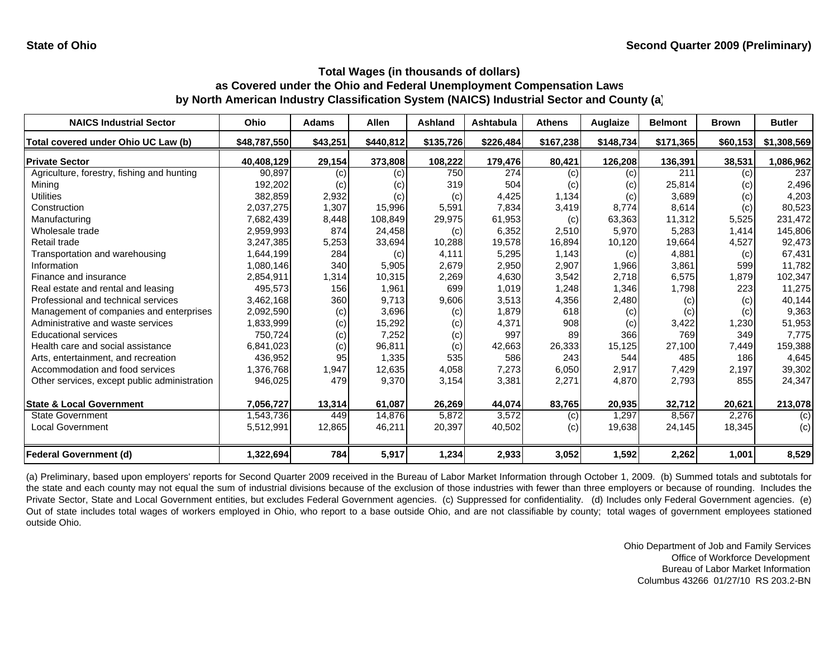| <b>NAICS Industrial Sector</b>               | Ohio         | <b>Adams</b> | <b>Allen</b> | Ashland   | <b>Ashtabula</b> | <b>Athens</b> | Auglaize  | <b>Belmont</b> | <b>Brown</b> | <b>Butler</b> |
|----------------------------------------------|--------------|--------------|--------------|-----------|------------------|---------------|-----------|----------------|--------------|---------------|
| Total covered under Ohio UC Law (b)          | \$48,787,550 | \$43,251     | \$440,812    | \$135,726 | \$226,484        | \$167,238     | \$148,734 | \$171,365      | \$60,153     | \$1,308,569   |
| <b>Private Sector</b>                        | 40,408,129   | 29,154       | 373,808      | 108,222   | 179,476          | 80,421        | 126,208   | 136,391        | 38,531       | 1,086,962     |
| Agriculture, forestry, fishing and hunting   | 90,897       | (c)          | (c)          | 750       | 274              | (c)           | (c)       | 211            | (c)          | 237           |
| Mining                                       | 192,202      | (c)          | (c)          | 319       | 504              | (c)           | (c)       | 25,814         | (c)          | 2,496         |
| <b>Utilities</b>                             | 382,859      | 2,932        | (c)          | (c)       | 4,425            | 1,134         | (c)       | 3,689          | (c)          | 4,203         |
| Construction                                 | 2,037,275    | 1,307        | 15,996       | 5,591     | 7,834            | 3,419         | 8.774     | 8,614          | (c)          | 80,523        |
| Manufacturing                                | 7,682,439    | 8,448        | 108.849      | 29,975    | 61,953           | (c)           | 63,363    | 11,312         | 5,525        | 231,472       |
| Wholesale trade                              | 2,959,993    | 874          | 24,458       | (c)       | 6,352            | 2,510         | 5,970     | 5,283          | 1.414        | 145,806       |
| Retail trade                                 | 3,247,385    | 5,253        | 33,694       | 10,288    | 19,578           | 16,894        | 10,120    | 19,664         | 4,527        | 92,473        |
| Transportation and warehousing               | 1,644,199    | 284          | (c)          | 4,111     | 5,295            | 1,143         | (c)       | 4,881          | (c)          | 67,431        |
| Information                                  | 1,080,146    | 340          | 5,905        | 2,679     | 2,950            | 2,907         | 1,966     | 3,861          | 599          | 11,782        |
| Finance and insurance                        | 2,854,911    | 1,314        | 10,315       | 2,269     | 4,630            | 3,542         | 2,718     | 6,575          | 1,879        | 102,347       |
| Real estate and rental and leasing           | 495,573      | 156          | 1,961        | 699       | 1,019            | 1,248         | 1,346     | 1,798          | 223          | 11,275        |
| Professional and technical services          | 3,462,168    | 360          | 9,713        | 9,606     | 3,513            | 4,356         | 2,480     | (c)            | (c)          | 40,144        |
| Management of companies and enterprises      | 2,092,590    | (c)          | 3,696        | (c)       | 1,879            | 618           | (c)       | (c)            | (c)          | 9,363         |
| Administrative and waste services            | 1,833,999    | (c)          | 15,292       | (c)       | 4,371            | 908           | (c)       | 3,422          | 1,230        | 51,953        |
| <b>Educational services</b>                  | 750.724      | (c)          | 7,252        | (c)       | 997              | 89            | 366       | 769            | 349          | 7,775         |
| Health care and social assistance            | 6,841,023    | (c)          | 96,811       | (c)       | 42,663           | 26,333        | 15,125    | 27,100         | 7,449        | 159,388       |
| Arts, entertainment, and recreation          | 436.952      | 95           | 1,335        | 535       | 586              | 243           | 544       | 485            | 186          | 4,645         |
| Accommodation and food services              | 1,376,768    | 1,947        | 12,635       | 4,058     | 7,273            | 6,050         | 2,917     | 7,429          | 2,197        | 39,302        |
| Other services, except public administration | 946,025      | 479          | 9,370        | 3,154     | 3,381            | 2,271         | 4,870     | 2,793          | 855          | 24,347        |
| <b>State &amp; Local Government</b>          | 7,056,727    | 13,314       | 61,087       | 26,269    | 44,074           | 83,765        | 20,935    | 32,712         | 20,621       | 213,078       |
| <b>State Government</b>                      | 1,543,736    | 449          | 14,876       | 5,872     | 3,572            | (c)           | 1,297     | 8,567          | 2,276        | (c)           |
| <b>Local Government</b>                      | 5,512,991    | 12,865       | 46,211       | 20,397    | 40,502           | (c)           | 19,638    | 24,145         | 18,345       | (c)           |
| <b>Federal Government (d)</b>                | 1,322,694    | 784          | 5,917        | 1,234     | 2,933            | 3,052         | 1,592     | 2,262          | 1,001        | 8,529         |

(a) Preliminary, based upon employers' reports for Second Quarter 2009 received in the Bureau of Labor Market Information through October 1, 2009. (b) Summed totals and subtotals for the state and each county may not equal the sum of industrial divisions because of the exclusion of those industries with fewer than three employers or because of rounding. Includes the Private Sector, State and Local Government entities, but excludes Federal Government agencies. (c) Suppressed for confidentiality. (d) Includes only Federal Government agencies. (e) Out of state includes total wages of workers employed in Ohio, who report to <sup>a</sup> base outside Ohio, and are not classifiable by county; total wages of government employees stationed outside Ohio.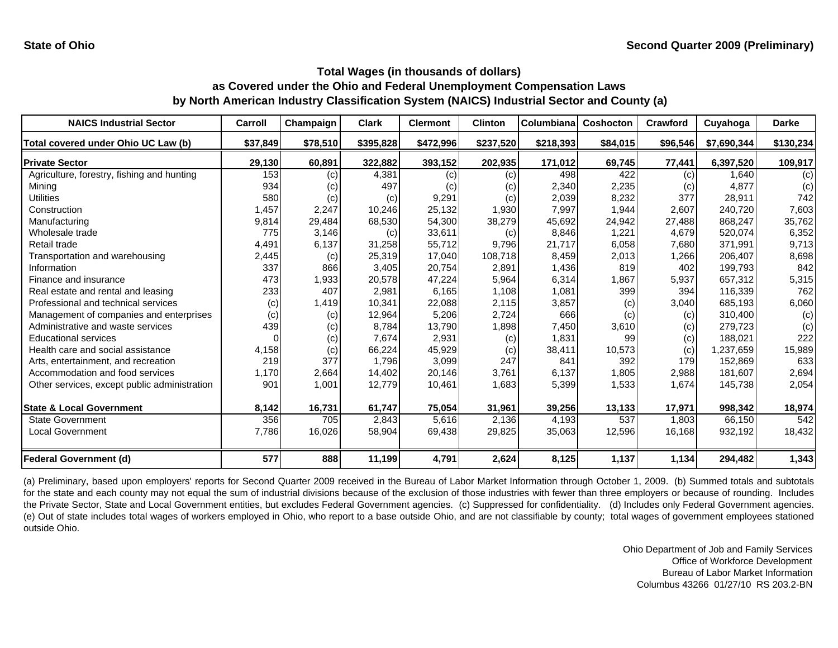| <b>NAICS Industrial Sector</b>               | Carroll  | Champaign | <b>Clark</b> | <b>Clermont</b> | <b>Clinton</b> | Columbiana | <b>Coshocton</b> | Crawford | Cuyahoga    | <b>Darke</b> |
|----------------------------------------------|----------|-----------|--------------|-----------------|----------------|------------|------------------|----------|-------------|--------------|
| Total covered under Ohio UC Law (b)          | \$37,849 | \$78,510  | \$395,828    | \$472,996       | \$237,520      | \$218,393  | \$84,015         | \$96,546 | \$7,690,344 | \$130,234    |
| <b>Private Sector</b>                        | 29,130   | 60,891    | 322,882      | 393,152         | 202,935        | 171,012    | 69,745           | 77,441   | 6,397,520   | 109,917      |
| Agriculture, forestry, fishing and hunting   | 153      | (c)       | 4,381        | (c)             | (c)            | 498        | 422              | (c)      | 1.640       | (c)          |
| Mining                                       | 934      | (c)       | 497          | (c)             | (c)            | 2,340      | 2,235            | (c)      | 4,877       | (c)          |
| Utilities                                    | 580      | (c)       | (c)          | 9,291           | (c)            | 2,039      | 8,232            | 377      | 28,911      | 742          |
| Construction                                 | 1,457    | 2,247     | 10,246       | 25,132          | 1,930          | 7,997      | 1,944            | 2,607    | 240,720     | 7,603        |
| Manufacturing                                | 9,814    | 29,484    | 68,530       | 54,300          | 38,279         | 45,692     | 24,942           | 27,488   | 868,247     | 35,762       |
| Wholesale trade                              | 775      | 3,146     | (c)          | 33,611          | (c)            | 8,846      | 1,221            | 4,679    | 520,074     | 6,352        |
| Retail trade                                 | 4,491    | 6,137     | 31,258       | 55,712          | 9,796          | 21,717     | 6,058            | 7,680    | 371,991     | 9,713        |
| Transportation and warehousing               | 2,445    | (c)       | 25,319       | 17,040          | 108,718        | 8,459      | 2,013            | 1,266    | 206,407     | 8,698        |
| Information                                  | 337      | 866       | 3,405        | 20,754          | 2,891          | 1,436      | 819              | 402      | 199,793     | 842          |
| Finance and insurance                        | 473      | 1,933     | 20,578       | 47,224          | 5,964          | 6,314      | 1,867            | 5,937    | 657,312     | 5,315        |
| Real estate and rental and leasing           | 233      | 407       | 2,981        | 6,165           | 1,108          | 1,081      | 399              | 394      | 116,339     | 762          |
| Professional and technical services          | (c)      | 1,419     | 10,341       | 22,088          | 2,115          | 3,857      | (c)              | 3,040    | 685,193     | 6,060        |
| Management of companies and enterprises      | (c)      | (c)       | 12,964       | 5,206           | 2,724          | 666        | (c)              | (c)      | 310.400     | (c)          |
| Administrative and waste services            | 439      | (c)       | 8,784        | 13.790          | 1,898          | 7,450      | 3,610            | (c)      | 279,723     | (c)          |
| <b>Educational services</b>                  |          | (c)       | 7,674        | 2,931           | (c)            | 1,831      | 99               | (c)      | 188,021     | 222          |
| Health care and social assistance            | 4,158    | (c)       | 66,224       | 45,929          | (c)            | 38,411     | 10,573           | (c)      | 1,237,659   | 15,989       |
| Arts, entertainment, and recreation          | 219      | 377       | 1.796        | 3,099           | 247            | 841        | 392              | 179      | 152,869     | 633          |
| Accommodation and food services              | 1,170    | 2,664     | 14,402       | 20,146          | 3,761          | 6,137      | 1,805            | 2,988    | 181.607     | 2,694        |
| Other services, except public administration | 901      | 1,001     | 12,779       | 10,461          | 1,683          | 5,399      | 1,533            | 1,674    | 145,738     | 2,054        |
| <b>State &amp; Local Government</b>          | 8,142    | 16,731    | 61,747       | 75,054          | 31,961         | 39,256     | 13,133           | 17,971   | 998,342     | 18,974       |
| <b>State Government</b>                      | 356      | 705       | 2,843        | 5,616           | 2,136          | 4,193      | 537              | 1,803    | 66,150      | 542          |
| <b>Local Government</b>                      | 7,786    | 16,026    | 58,904       | 69,438          | 29,825         | 35,063     | 12,596           | 16,168   | 932,192     | 18,432       |
| <b>Federal Government (d)</b>                | 577      | 888       | 11,199       | 4,791           | 2,624          | 8,125      | 1,137            | 1,134    | 294,482     | 1,343        |

(a) Preliminary, based upon employers' reports for Second Quarter 2009 received in the Bureau of Labor Market Information through October 1, 2009. (b) Summed totals and subtotals for the state and each county may not equal the sum of industrial divisions because of the exclusion of those industries with fewer than three employers or because of rounding. Includes the Private Sector, State and Local Government entities, but excludes Federal Government agencies. (c) Suppressed for confidentiality. (d) Includes only Federal Government agencies. (e) Out of state includes total wages of workers employed in Ohio, who report to <sup>a</sup> base outside Ohio, and are not classifiable by county; total wages of government employees stationed outside Ohio.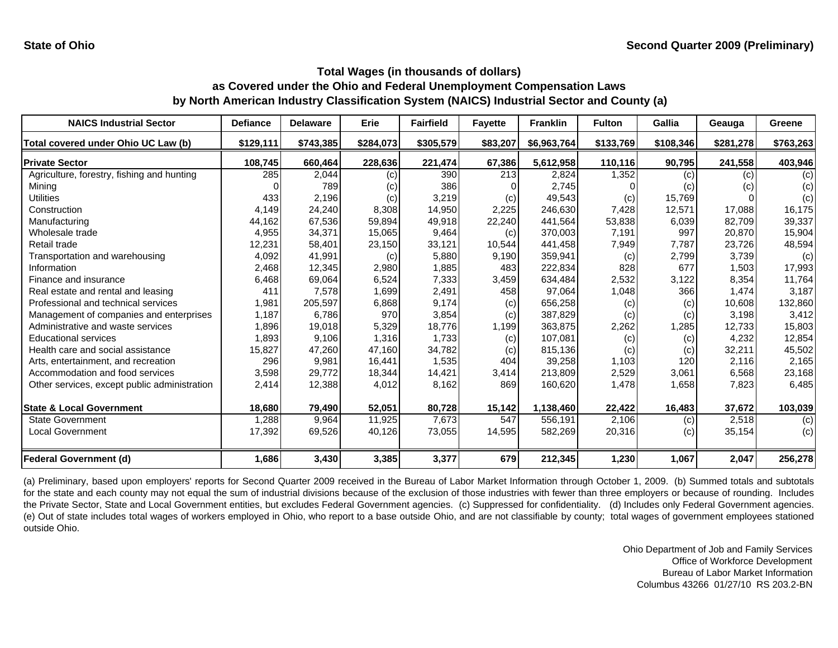| <b>NAICS Industrial Sector</b>               | <b>Defiance</b> | <b>Delaware</b> | Erie      | <b>Fairfield</b> | <b>Fayette</b> | <b>Franklin</b> | <b>Fulton</b> | <b>Gallia</b> | Geauga    | Greene    |
|----------------------------------------------|-----------------|-----------------|-----------|------------------|----------------|-----------------|---------------|---------------|-----------|-----------|
| Total covered under Ohio UC Law (b)          | \$129,111       | \$743,385       | \$284,073 | \$305,579        | \$83,207       | \$6,963,764     | \$133,769     | \$108,346     | \$281,278 | \$763,263 |
| <b>Private Sector</b>                        | 108,745         | 660,464         | 228,636   | 221,474          | 67,386         | 5,612,958       | 110,116       | 90,795        | 241,558   | 403,946   |
| Agriculture, forestry, fishing and hunting   | 285             | 2,044           | (c)       | 390              | 213            | 2,824           | 1,352         | (c)           | (c)       | (c)       |
| Mining                                       |                 | 789             | (c)       | 386              |                | 2,745           |               | (c)           | (c)       | (c)       |
| <b>Utilities</b>                             | 433             | 2,196           | (c)       | 3,219            | (c)            | 49,543          | (c)           | 15,769        |           | (c)       |
| Construction                                 | 4,149           | 24,240          | 8,308     | 14,950           | 2,225          | 246,630         | 7,428         | 12,571        | 17,088    | 16,175    |
| Manufacturing                                | 44,162          | 67,536          | 59,894    | 49,918           | 22,240         | 441,564         | 53,838        | 6,039         | 82,709    | 39,337    |
| Wholesale trade                              | 4,955           | 34,371          | 15,065    | 9,464            | (c)            | 370,003         | 7,191         | 997           | 20,870    | 15,904    |
| Retail trade                                 | 12,231          | 58,401          | 23,150    | 33,121           | 10,544         | 441,458         | 7,949         | 7,787         | 23,726    | 48,594    |
| Transportation and warehousing               | 4,092           | 41,991          | (c)       | 5,880            | 9,190          | 359,941         | (c)           | 2,799         | 3,739     | (c)       |
| Information                                  | 2,468           | 12,345          | 2,980     | 1,885            | 483            | 222,834         | 828           | 677           | 1,503     | 17,993    |
| Finance and insurance                        | 6,468           | 69,064          | 6,524     | 7,333            | 3,459          | 634,484         | 2,532         | 3,122         | 8,354     | 11,764    |
| Real estate and rental and leasing           | 411             | 7,578           | 1,699     | 2,491            | 458            | 97,064          | 1,048         | 366           | 1,474     | 3,187     |
| Professional and technical services          | 1,981           | 205,597         | 6,868     | 9,174            | (c)            | 656,258         | (c)           | (c)           | 10,608    | 132,860   |
| Management of companies and enterprises      | 1,187           | 6,786           | 970       | 3,854            | (c)            | 387,829         | (c)           | (c)           | 3.198     | 3,412     |
| Administrative and waste services            | 1,896           | 19,018          | 5,329     | 18.776           | 1,199          | 363,875         | 2,262         | 1,285         | 12.733    | 15,803    |
| <b>Educational services</b>                  | 1,893           | 9,106           | 1,316     | 1,733            | (c)            | 107,081         | (c)           | (c)           | 4,232     | 12,854    |
| Health care and social assistance            | 15,827          | 47,260          | 47.160    | 34,782           | (c)            | 815,136         | (c)           | (c)           | 32,211    | 45,502    |
| Arts, entertainment, and recreation          | 296             | 9,981           | 16,441    | 1,535            | 404            | 39,258          | 1,103         | 120           | 2.116     | 2,165     |
| Accommodation and food services              | 3,598           | 29,772          | 18,344    | 14,421           | 3,414          | 213,809         | 2,529         | 3,061         | 6,568     | 23,168    |
| Other services, except public administration | 2,414           | 12,388          | 4,012     | 8,162            | 869            | 160,620         | 1,478         | 1,658         | 7,823     | 6,485     |
| <b>State &amp; Local Government</b>          | 18,680          | 79,490          | 52,051    | 80,728           | 15,142         | 1,138,460       | 22,422        | 16,483        | 37,672    | 103,039   |
| <b>State Government</b>                      | 1,288           | 9,964           | 11,925    | 7,673            | 547            | 556,191         | 2,106         | (c)           | 2,518     | (c)       |
| Local Government                             | 17,392          | 69,526          | 40,126    | 73,055           | 14,595         | 582,269         | 20,316        | (c)           | 35,154    | (c)       |
| <b>Federal Government (d)</b>                | 1,686           | 3,430           | 3,385     | 3,377            | 679            | 212,345         | 1,230         | 1,067         | 2,047     | 256,278   |

(a) Preliminary, based upon employers' reports for Second Quarter 2009 received in the Bureau of Labor Market Information through October 1, 2009. (b) Summed totals and subtotals for the state and each county may not equal the sum of industrial divisions because of the exclusion of those industries with fewer than three employers or because of rounding. Includes the Private Sector, State and Local Government entities, but excludes Federal Government agencies. (c) Suppressed for confidentiality. (d) Includes only Federal Government agencies. (e) Out of state includes total wages of workers employed in Ohio, who report to <sup>a</sup> base outside Ohio, and are not classifiable by county; total wages of government employees stationed outside Ohio.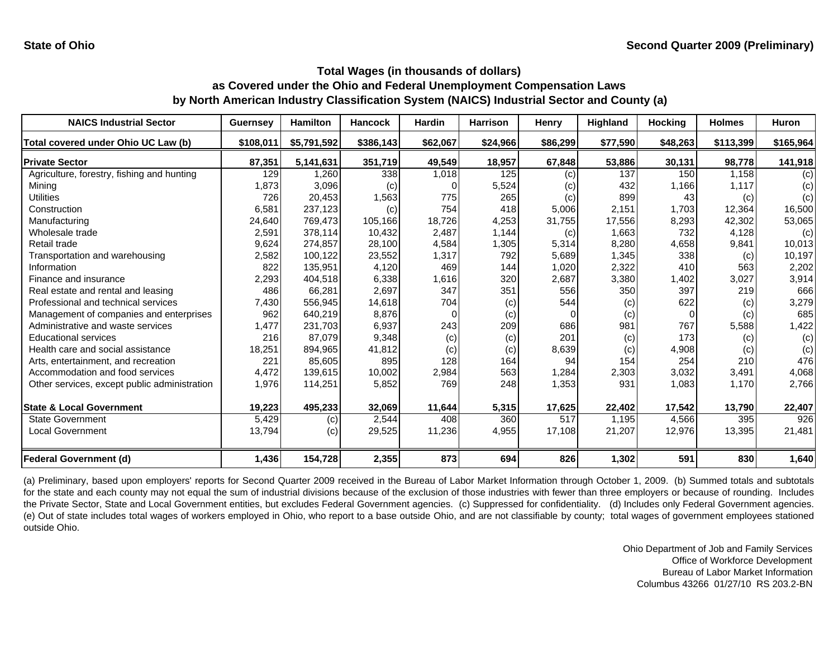| <b>NAICS Industrial Sector</b>               | <b>Guernsey</b> | <b>Hamilton</b> | <b>Hancock</b> | <b>Hardin</b> | <b>Harrison</b> | Henry    | <b>Highland</b> | <b>Hocking</b> | <b>Holmes</b> | <b>Huron</b> |
|----------------------------------------------|-----------------|-----------------|----------------|---------------|-----------------|----------|-----------------|----------------|---------------|--------------|
| Total covered under Ohio UC Law (b)          | \$108,011       | \$5,791,592     | \$386,143      | \$62,067      | \$24,966        | \$86,299 | \$77,590        | \$48,263       | \$113,399     | \$165,964    |
| <b>Private Sector</b>                        | 87,351          | 5,141,631       | 351,719        | 49,549        | 18,957          | 67,848   | 53,886          | 30,131         | 98,778        | 141,918      |
| Agriculture, forestry, fishing and hunting   | 129             | 1.260           | 338            | 1,018         | 125             | (c)      | 137             | 150            | 1,158         | (c)          |
| Mining                                       | 1,873           | 3,096           | (c)            |               | 5,524           | (c)      | 432             | 1,166          | 1,117         | (c)          |
| <b>Utilities</b>                             | 726             | 20,453          | 1,563          | 775           | 265             | (c)      | 899             | 43             | (c)           | (c)          |
| Construction                                 | 6,581           | 237,123         | (c)            | 754           | 418             | 5,006    | 2,151           | 1,703          | 12,364        | 16,500       |
| Manufacturing                                | 24,640          | 769,473         | 105,166        | 18,726        | 4,253           | 31,755   | 17,556          | 8,293          | 42.302        | 53,065       |
| Wholesale trade                              | 2,591           | 378,114         | 10,432         | 2,487         | 1,144           | (c)      | 1,663           | 732            | 4,128         | (c)          |
| Retail trade                                 | 9,624           | 274,857         | 28,100         | 4,584         | 1,305           | 5,314    | 8,280           | 4,658          | 9,841         | 10,013       |
| Transportation and warehousing               | 2,582           | 100,122         | 23,552         | 1,317         | 792             | 5,689    | 1,345           | 338            | (c)           | 10,197       |
| Information                                  | 822             | 135,951         | 4,120          | 469           | 144             | 1,020    | 2,322           | 410            | 563           | 2,202        |
| Finance and insurance                        | 2,293           | 404,518         | 6,338          | 1,616         | 320             | 2,687    | 3,380           | 1,402          | 3,027         | 3,914        |
| Real estate and rental and leasing           | 486             | 66,281          | 2,697          | 347           | 351             | 556      | 350             | 397            | 219           | 666          |
| Professional and technical services          | 7,430           | 556,945         | 14,618         | 704           | (c)             | 544      | (c)             | 622            | (c)           | 3,279        |
| Management of companies and enterprises      | 962             | 640,219         | 8,876          | O             | (c)             | $\Omega$ | (c)             | $\Omega$       | (c)           | 685          |
| Administrative and waste services            | 1,477           | 231,703         | 6,937          | 243           | 209             | 686      | 981             | 767            | 5,588         | 1,422        |
| <b>Educational services</b>                  | 216             | 87,079          | 9,348          | (c)           | (c)             | 201      | (c)             | 173            | (c)           | (c)          |
| Health care and social assistance            | 18,251          | 894,965         | 41,812         | (c)           | (c)             | 8,639    | (c)             | 4,908          | (c)           | (c)          |
| Arts, entertainment, and recreation          | 221             | 85,605          | 895            | 128           | 164             | 94       | 154             | 254            | 210           | 476          |
| Accommodation and food services              | 4,472           | 139,615         | 10,002         | 2,984         | 563             | 1,284    | 2,303           | 3,032          | 3,491         | 4,068        |
| Other services, except public administration | 1,976           | 114,251         | 5,852          | 769           | 248             | 1,353    | 931             | 1,083          | 1,170         | 2,766        |
| <b>State &amp; Local Government</b>          | 19,223          | 495,233         | 32,069         | 11,644        | 5,315           | 17,625   | 22,402          | 17,542         | 13,790        | 22,407       |
| <b>State Government</b>                      | 5,429           | (c)             | 2,544          | 408           | 360             | 517      | 1.195           | 4,566          | 395           | 926          |
| Local Government                             | 13,794          | (c)             | 29,525         | 11,236        | 4,955           | 17,108   | 21,207          | 12,976         | 13,395        | 21,481       |
| <b>Federal Government (d)</b>                | 1,436           | 154,728         | 2,355          | 873           | 694             | 826      | 1,302           | 591            | 830           | 1,640        |

(a) Preliminary, based upon employers' reports for Second Quarter 2009 received in the Bureau of Labor Market Information through October 1, 2009. (b) Summed totals and subtotals for the state and each county may not equal the sum of industrial divisions because of the exclusion of those industries with fewer than three employers or because of rounding. Includes the Private Sector, State and Local Government entities, but excludes Federal Government agencies. (c) Suppressed for confidentiality. (d) Includes only Federal Government agencies. (e) Out of state includes total wages of workers employed in Ohio, who report to <sup>a</sup> base outside Ohio, and are not classifiable by county; total wages of government employees stationed outside Ohio.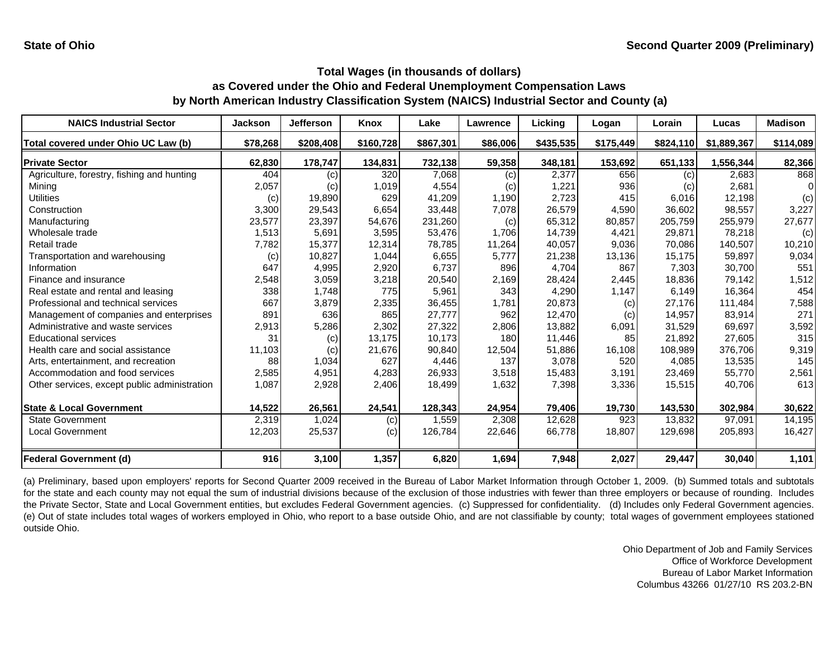| <b>NAICS Industrial Sector</b>               | <b>Jackson</b> | <b>Jefferson</b> | <b>Knox</b> | Lake      | Lawrence | Licking   | Logan     | Lorain    | Lucas       | <b>Madison</b> |
|----------------------------------------------|----------------|------------------|-------------|-----------|----------|-----------|-----------|-----------|-------------|----------------|
| Total covered under Ohio UC Law (b)          | \$78,268       | \$208,408        | \$160,728   | \$867,301 | \$86,006 | \$435,535 | \$175,449 | \$824,110 | \$1,889,367 | \$114,089      |
| <b>Private Sector</b>                        | 62,830         | 178,747          | 134,831     | 732,138   | 59,358   | 348,181   | 153,692   | 651,133   | 1,556,344   | 82,366         |
| Agriculture, forestry, fishing and hunting   | 404            | (c)              | 320         | 7,068     | (c)      | 2,377     | 656       | (c)       | 2,683       | 868            |
| Mining                                       | 2,057          | (c)              | 1,019       | 4,554     | (c)      | 1,221     | 936       | (c)       | 2,681       |                |
| Utilities                                    | (c)            | 19,890           | 629         | 41,209    | 1,190    | 2,723     | 415       | 6,016     | 12,198      | (c)            |
| Construction                                 | 3,300          | 29,543           | 6,654       | 33,448    | 7,078    | 26,579    | 4,590     | 36,602    | 98,557      | 3,227          |
| Manufacturing                                | 23,577         | 23,397           | 54,676      | 231,260   | (c)      | 65,312    | 80,857    | 205,759   | 255,979     | 27,677         |
| Wholesale trade                              | 1,513          | 5,691            | 3,595       | 53,476    | 1.706    | 14,739    | 4,421     | 29.871    | 78,218      | (c)            |
| Retail trade                                 | 7,782          | 15,377           | 12,314      | 78.785    | 11,264   | 40,057    | 9,036     | 70.086    | 140,507     | 10,210         |
| Transportation and warehousing               | (c)            | 10,827           | 1,044       | 6,655     | 5,777    | 21,238    | 13,136    | 15,175    | 59,897      | 9,034          |
| Information                                  | 647            | 4,995            | 2,920       | 6,737     | 896      | 4,704     | 867       | 7,303     | 30,700      | 551            |
| Finance and insurance                        | 2,548          | 3,059            | 3,218       | 20,540    | 2,169    | 28,424    | 2,445     | 18,836    | 79,142      | 1,512          |
| Real estate and rental and leasing           | 338            | 1,748            | 775         | 5,961     | 343      | 4,290     | 1,147     | 6,149     | 16,364      | 454            |
| Professional and technical services          | 667            | 3,879            | 2,335       | 36,455    | 1,781    | 20,873    | (c)       | 27,176    | 111,484     | 7,588          |
| Management of companies and enterprises      | 891            | 636              | 865         | 27,777    | 962      | 12,470    | (c)       | 14.957    | 83,914      | 271            |
| Administrative and waste services            | 2,913          | 5,286            | 2,302       | 27,322    | 2,806    | 13,882    | 6,091     | 31,529    | 69,697      | 3,592          |
| <b>Educational services</b>                  | 31             | (c)              | 13,175      | 10,173    | 180      | 11,446    | 85        | 21,892    | 27,605      | 315            |
| Health care and social assistance            | 11,103         | (c)              | 21,676      | 90,840    | 12,504   | 51,886    | 16,108    | 108.989   | 376,706     | 9,319          |
| Arts, entertainment, and recreation          | 88             | 1,034            | 627         | 4,446     | 137      | 3,078     | 520       | 4.085     | 13,535      | 145            |
| Accommodation and food services              | 2,585          | 4,951            | 4,283       | 26,933    | 3,518    | 15,483    | 3,191     | 23,469    | 55,770      | 2,561          |
| Other services, except public administration | 1,087          | 2,928            | 2,406       | 18,499    | 1,632    | 7,398     | 3,336     | 15,515    | 40,706      | 613            |
| <b>State &amp; Local Government</b>          | 14,522         | 26,561           | 24,541      | 128,343   | 24,954   | 79,406    | 19,730    | 143,530   | 302,984     | 30,622         |
| <b>State Government</b>                      | 2,319          | 1,024            | (c)         | 1,559     | 2,308    | 12,628    | 923       | 13.832    | 97,091      | 14,195         |
| <b>Local Government</b>                      | 12,203         | 25,537           | (c)         | 126,784   | 22,646   | 66,778    | 18,807    | 129,698   | 205,893     | 16,427         |
| <b>Federal Government (d)</b>                | 916            | 3,100            | 1,357       | 6,820     | 1,694    | 7,948     | 2,027     | 29,447    | 30,040      | 1,101          |

(a) Preliminary, based upon employers' reports for Second Quarter 2009 received in the Bureau of Labor Market Information through October 1, 2009. (b) Summed totals and subtotals for the state and each county may not equal the sum of industrial divisions because of the exclusion of those industries with fewer than three employers or because of rounding. Includes the Private Sector, State and Local Government entities, but excludes Federal Government agencies. (c) Suppressed for confidentiality. (d) Includes only Federal Government agencies. (e) Out of state includes total wages of workers employed in Ohio, who report to <sup>a</sup> base outside Ohio, and are not classifiable by county; total wages of government employees stationed outside Ohio.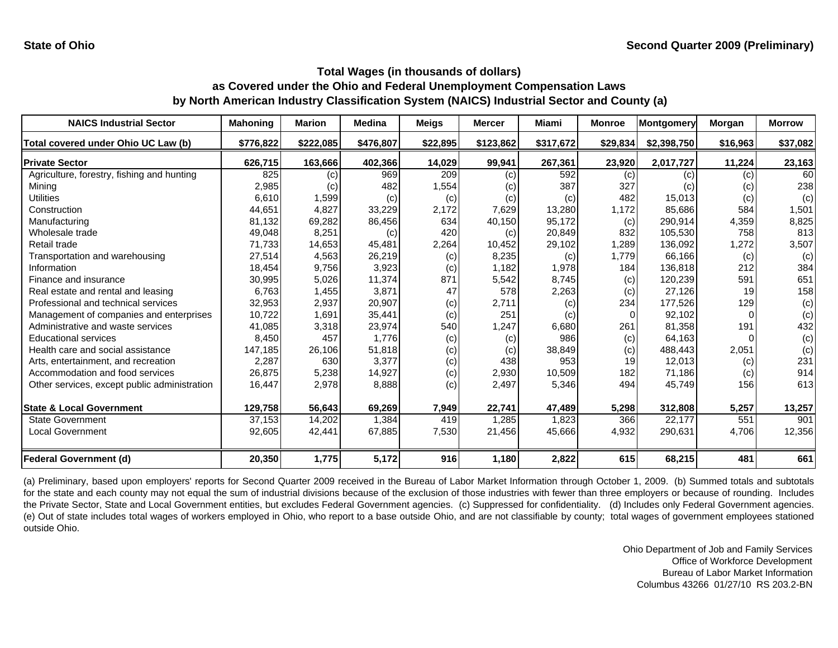| <b>NAICS Industrial Sector</b>               | <b>Mahoning</b> | <b>Marion</b> | <b>Medina</b> | <b>Meigs</b> | <b>Mercer</b> | Miami     | <b>Monroe</b> | Montgomery  | Morgan   | <b>Morrow</b> |
|----------------------------------------------|-----------------|---------------|---------------|--------------|---------------|-----------|---------------|-------------|----------|---------------|
| Total covered under Ohio UC Law (b)          | \$776,822       | \$222,085     | \$476,807     | \$22,895     | \$123,862     | \$317,672 | \$29,834      | \$2,398,750 | \$16,963 | \$37,082      |
| <b>Private Sector</b>                        | 626,715         | 163,666       | 402,366       | 14,029       | 99,941        | 267,361   | 23,920        | 2,017,727   | 11,224   | 23,163        |
| Agriculture, forestry, fishing and hunting   | 825             | (c)           | 969           | 209          | (c)           | 592       | (c)           | (c)         | (c)      | 60            |
| Mining                                       | 2,985           | (c)           | 482           | 1,554        | (c)           | 387       | 327           | (c)         | (c)      | 238           |
| Utilities                                    | 6,610           | 1,599         | (c)           | (c)          | (c)           | (c)       | 482           | 15,013      | (c)      | (c)           |
| Construction                                 | 44,651          | 4,827         | 33,229        | 2,172        | 7,629         | 13,280    | 1,172         | 85,686      | 584      | 1,501         |
| Manufacturing                                | 81,132          | 69,282        | 86,456        | 634          | 40,150        | 95,172    | (c)           | 290,914     | 4,359    | 8,825         |
| Wholesale trade                              | 49,048          | 8,251         | (c)           | 420          | (c)           | 20,849    | 832           | 105,530     | 758      | 813           |
| Retail trade                                 | 71,733          | 14,653        | 45,481        | 2,264        | 10,452        | 29,102    | 1,289         | 136,092     | 1,272    | 3,507         |
| Transportation and warehousing               | 27,514          | 4,563         | 26,219        | (c)          | 8,235         | (c)       | 1,779         | 66,166      | (c)      | (c)           |
| Information                                  | 18,454          | 9,756         | 3,923         | (c)          | 1,182         | 1,978     | 184           | 136,818     | 212      | 384           |
| Finance and insurance                        | 30,995          | 5,026         | 11,374        | 871          | 5,542         | 8,745     | (c)           | 120,239     | 591      | 651           |
| Real estate and rental and leasing           | 6,763           | 1,455         | 3,871         | 47           | 578           | 2,263     | (c)           | 27,126      | 19       | 158           |
| Professional and technical services          | 32,953          | 2,937         | 20,907        | (c)          | 2,711         | (c)       | 234           | 177,526     | 129      | (c)           |
| Management of companies and enterprises      | 10,722          | 1,691         | 35,441        | (c)          | 251           | (c)       |               | 92,102      | $\Omega$ | (c)           |
| Administrative and waste services            | 41,085          | 3,318         | 23,974        | 540          | 1,247         | 6,680     | 261           | 81,358      | 191      | 432           |
| <b>Educational services</b>                  | 8,450           | 457           | 1,776         | (c)          | (c)           | 986       | (c)           | 64,163      |          | (c)           |
| Health care and social assistance            | 147,185         | 26,106        | 51,818        | (c)          | (c)           | 38,849    | (c)           | 488,443     | 2,051    | (c)           |
| Arts, entertainment, and recreation          | 2,287           | 630           | 3,377         | (c)          | 438           | 953       | 19            | 12,013      | (c)      | 231           |
| Accommodation and food services              | 26,875          | 5,238         | 14,927        | (c)          | 2,930         | 10,509    | 182           | 71,186      | (c)      | 914           |
| Other services, except public administration | 16,447          | 2,978         | 8,888         | (c)          | 2,497         | 5,346     | 494           | 45,749      | 156      | 613           |
| <b>State &amp; Local Government</b>          | 129,758         | 56,643        | 69,269        | 7,949        | 22,741        | 47,489    | 5,298         | 312,808     | 5,257    | 13,257        |
| <b>State Government</b>                      | 37,153          | 14,202        | 1,384         | 419          | 1,285         | 1,823     | 366           | 22,177      | 551      | 901           |
| <b>Local Government</b>                      | 92,605          | 42,441        | 67,885        | 7,530        | 21,456        | 45,666    | 4,932         | 290,631     | 4,706    | 12,356        |
| <b>Federal Government (d)</b>                | 20,350          | 1,775         | 5,172         | 916          | 1,180         | 2,822     | 615           | 68,215      | 481      | 661           |

(a) Preliminary, based upon employers' reports for Second Quarter 2009 received in the Bureau of Labor Market Information through October 1, 2009. (b) Summed totals and subtotals for the state and each county may not equal the sum of industrial divisions because of the exclusion of those industries with fewer than three employers or because of rounding. Includes the Private Sector, State and Local Government entities, but excludes Federal Government agencies. (c) Suppressed for confidentiality. (d) Includes only Federal Government agencies. (e) Out of state includes total wages of workers employed in Ohio, who report to <sup>a</sup> base outside Ohio, and are not classifiable by county; total wages of government employees stationed outside Ohio.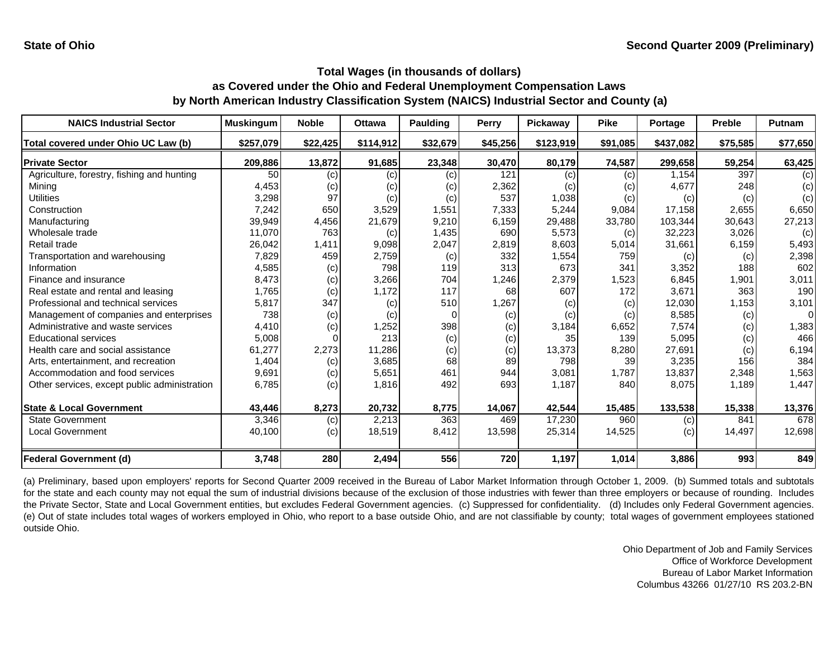| <b>NAICS Industrial Sector</b>               | <b>Muskingum</b> | <b>Noble</b> | <b>Ottawa</b> | <b>Paulding</b> | Perry    | Pickaway  | <b>Pike</b> | Portage   | <b>Preble</b> | Putnam   |
|----------------------------------------------|------------------|--------------|---------------|-----------------|----------|-----------|-------------|-----------|---------------|----------|
| Total covered under Ohio UC Law (b)          | \$257,079        | \$22,425     | \$114,912     | \$32,679        | \$45,256 | \$123,919 | \$91,085    | \$437,082 | \$75,585      | \$77,650 |
| <b>Private Sector</b>                        | 209,886          | 13,872       | 91,685        | 23,348          | 30,470   | 80,179    | 74,587      | 299,658   | 59,254        | 63,425   |
| Agriculture, forestry, fishing and hunting   | 50               | (c)          | (c)           | (c)             | 121      | (c)       | (c)         | 1,154     | 397           | (c)      |
| Minina                                       | 4,453            | (c)          | (c)           | (c)             | 2,362    | (C)       | (c)         | 4,677     | 248           | (c)      |
| Utilities                                    | 3,298            | 97           | (c)           | (c)             | 537      | 1,038     | (c)         | (c)       | (c)           | (c)      |
| Construction                                 | 7,242            | 650          | 3,529         | 1,551           | 7,333    | 5,244     | 9,084       | 17,158    | 2,655         | 6,650    |
| Manufacturing                                | 39,949           | 4,456        | 21,679        | 9,210           | 6,159    | 29,488    | 33.780      | 103,344   | 30,643        | 27,213   |
| Wholesale trade                              | 11,070           | 763          | (c)           | 1,435           | 690      | 5,573     | (c)         | 32,223    | 3,026         | (c)      |
| Retail trade                                 | 26,042           | 1,411        | 9,098         | 2,047           | 2,819    | 8,603     | 5,014       | 31,661    | 6,159         | 5,493    |
| Transportation and warehousing               | 7,829            | 459          | 2,759         | (c)             | 332      | 1,554     | 759         | (c)       | (c)           | 2,398    |
| Information                                  | 4,585            | (c)          | 798           | 119             | 313      | 673       | 341         | 3,352     | 188           | 602      |
| Finance and insurance                        | 8,473            | (c)          | 3,266         | 704             | 1,246    | 2,379     | 1,523       | 6,845     | 1,901         | 3,011    |
| Real estate and rental and leasing           | 1,765            | (c)          | 1.172         | 117             | 68       | 607       | 172         | 3,671     | 363           | 190      |
| Professional and technical services          | 5,817            | 347          | (c)           | 510             | 1,267    | (c)       | (c)         | 12,030    | 1,153         | 3,101    |
| Management of companies and enterprises      | 738              | (c)          | (c)           | n               | (c)      | (c)       | (c)         | 8,585     | (c)           | $\Omega$ |
| Administrative and waste services            | 4,410            | (c)          | 1,252         | 398             | (c)      | 3,184     | 6,652       | 7,574     | (c)           | 1,383    |
| <b>Educational services</b>                  | 5,008            |              | 213           | (c)             | (c)      | 35        | 139         | 5,095     | (c)           | 466      |
| Health care and social assistance            | 61,277           | 2,273        | 11,286        | (c)             | (c)      | 13,373    | 8,280       | 27,691    | (c)           | 6,194    |
| Arts, entertainment, and recreation          | 1,404            | (c)          | 3,685         | 68              | 89       | 798       | 39          | 3,235     | 156           | 384      |
| Accommodation and food services              | 9,691            | (c)          | 5,651         | 461             | 944      | 3,081     | 1,787       | 13,837    | 2,348         | 1,563    |
| Other services, except public administration | 6,785            | (c)          | 1,816         | 492             | 693      | 1,187     | 840         | 8,075     | 1,189         | 1,447    |
| <b>State &amp; Local Government</b>          | 43,446           | 8,273        | 20,732        | 8,775           | 14,067   | 42,544    | 15,485      | 133,538   | 15,338        | 13,376   |
| <b>State Government</b>                      | 3,346            | (c)          | 2,213         | 363             | 469      | 17,230    | 960         | (c)       | 841           | 678      |
| <b>Local Government</b>                      | 40,100           | (c)          | 18,519        | 8,412           | 13,598   | 25,314    | 14,525      | (c)       | 14,497        | 12,698   |
| <b>Federal Government (d)</b>                | 3,748            | 280          | 2,494         | 556             | 720      | 1,197     | 1,014       | 3,886     | 993           | 849      |

(a) Preliminary, based upon employers' reports for Second Quarter 2009 received in the Bureau of Labor Market Information through October 1, 2009. (b) Summed totals and subtotals for the state and each county may not equal the sum of industrial divisions because of the exclusion of those industries with fewer than three employers or because of rounding. Includes the Private Sector, State and Local Government entities, but excludes Federal Government agencies. (c) Suppressed for confidentiality. (d) Includes only Federal Government agencies. (e) Out of state includes total wages of workers employed in Ohio, who report to <sup>a</sup> base outside Ohio, and are not classifiable by county; total wages of government employees stationed outside Ohio.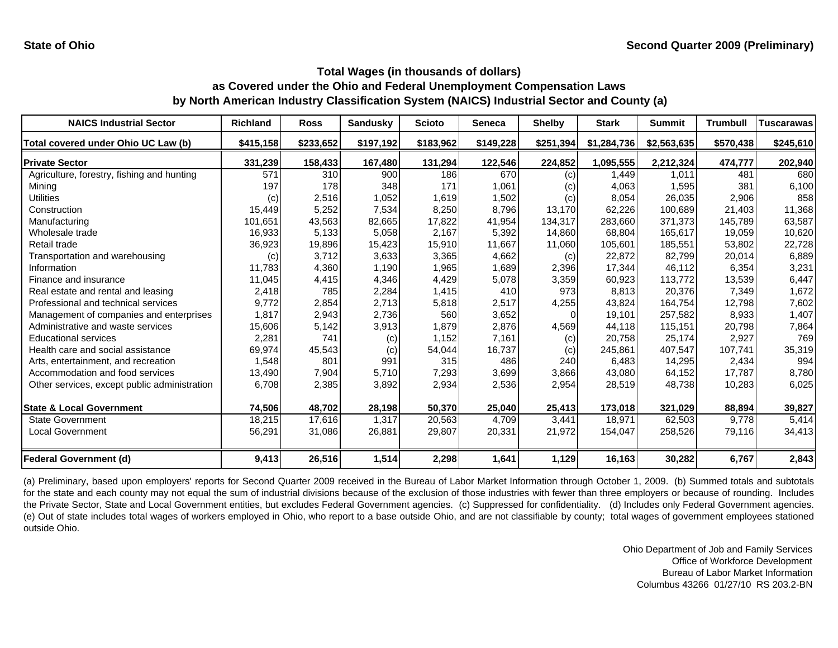| <b>NAICS Industrial Sector</b>               | <b>Richland</b> | <b>Ross</b> | <b>Sandusky</b> | <b>Scioto</b> | <b>Seneca</b> | <b>Shelby</b> | <b>Stark</b> | <b>Summit</b> | <b>Trumbull</b> | <b>Tuscarawas</b> |
|----------------------------------------------|-----------------|-------------|-----------------|---------------|---------------|---------------|--------------|---------------|-----------------|-------------------|
| Total covered under Ohio UC Law (b)          | \$415,158       | \$233,652   | \$197,192       | \$183,962     | \$149,228     | \$251,394     | \$1,284,736  | \$2,563,635   | \$570,438       | \$245,610         |
| <b>Private Sector</b>                        | 331,239         | 158,433     | 167,480         | 131,294       | 122,546       | 224,852       | 1,095,555    | 2,212,324     | 474,777         | 202,940           |
| Agriculture, forestry, fishing and hunting   | 571             | 310         | 900             | 186           | 670           | (c)           | 1.449        | 1.011         | 481             | 680               |
| Mining                                       | 197             | 178         | 348             | 171           | 1,061         | (c)           | 4,063        | 1,595         | 381             | 6,100             |
| Utilities                                    | (c)             | 2,516       | 1,052           | 1,619         | 1,502         | (c)           | 8,054        | 26,035        | 2,906           | 858               |
| Construction                                 | 15,449          | 5,252       | 7,534           | 8,250         | 8,796         | 13,170        | 62,226       | 100.689       | 21.403          | 11,368            |
| Manufacturing                                | 101,651         | 43,563      | 82,665          | 17,822        | 41,954        | 134,317       | 283,660      | 371,373       | 145,789         | 63,587            |
| Wholesale trade                              | 16,933          | 5,133       | 5,058           | 2.167         | 5,392         | 14.860        | 68.804       | 165.617       | 19,059          | 10,620            |
| Retail trade                                 | 36,923          | 19,896      | 15,423          | 15,910        | 11,667        | 11,060        | 105,601      | 185,551       | 53,802          | 22,728            |
| Transportation and warehousing               | (c)             | 3,712       | 3,633           | 3,365         | 4,662         | (c)           | 22,872       | 82,799        | 20,014          | 6,889             |
| Information                                  | 11,783          | 4,360       | 1,190           | 1,965         | 1,689         | 2,396         | 17,344       | 46,112        | 6,354           | 3,231             |
| Finance and insurance                        | 11,045          | 4,415       | 4,346           | 4,429         | 5,078         | 3,359         | 60,923       | 113,772       | 13,539          | 6,447             |
| Real estate and rental and leasing           | 2,418           | 785         | 2,284           | 1,415         | 410           | 973           | 8,813        | 20,376        | 7,349           | 1,672             |
| Professional and technical services          | 9,772           | 2,854       | 2,713           | 5,818         | 2,517         | 4,255         | 43,824       | 164,754       | 12,798          | 7,602             |
| Management of companies and enterprises      | 1,817           | 2,943       | 2,736           | 560           | 3,652         | $\Omega$      | 19.101       | 257,582       | 8,933           | 1,407             |
| Administrative and waste services            | 15,606          | 5,142       | 3,913           | 1,879         | 2,876         | 4,569         | 44.118       | 115,151       | 20.798          | 7,864             |
| <b>Educational services</b>                  | 2,281           | 741         | (c)             | 1,152         | 7,161         | (c)           | 20,758       | 25,174        | 2,927           | 769               |
| Health care and social assistance            | 69,974          | 45,543      | (c)             | 54,044        | 16,737        | (c)           | 245,861      | 407,547       | 107,741         | 35,319            |
| Arts, entertainment, and recreation          | 1,548           | 801         | 991             | 315           | 486           | 240           | 6,483        | 14,295        | 2,434           | 994               |
| Accommodation and food services              | 13,490          | 7,904       | 5,710           | 7,293         | 3,699         | 3,866         | 43,080       | 64,152        | 17,787          | 8,780             |
| Other services, except public administration | 6,708           | 2,385       | 3,892           | 2,934         | 2,536         | 2,954         | 28,519       | 48,738        | 10,283          | 6,025             |
| <b>State &amp; Local Government</b>          | 74,506          | 48,702      | 28,198          | 50,370        | 25,040        | 25,413        | 173,018      | 321,029       | 88,894          | 39,827            |
| <b>State Government</b>                      | 18,215          | 17.616      | 1,317           | 20,563        | 4,709         | 3.441         | 18.971       | 62,503        | 9.778           | 5,414             |
| Local Government                             | 56,291          | 31,086      | 26,881          | 29,807        | 20,331        | 21,972        | 154,047      | 258,526       | 79,116          | 34,413            |
| <b>Federal Government (d)</b>                | 9,413           | 26,516      | 1,514           | 2,298         | 1,641         | 1,129         | 16,163       | 30,282        | 6,767           | 2,843             |

(a) Preliminary, based upon employers' reports for Second Quarter 2009 received in the Bureau of Labor Market Information through October 1, 2009. (b) Summed totals and subtotals for the state and each county may not equal the sum of industrial divisions because of the exclusion of those industries with fewer than three employers or because of rounding. Includes the Private Sector, State and Local Government entities, but excludes Federal Government agencies. (c) Suppressed for confidentiality. (d) Includes only Federal Government agencies. (e) Out of state includes total wages of workers employed in Ohio, who report to <sup>a</sup> base outside Ohio, and are not classifiable by county; total wages of government employees stationed outside Ohio.